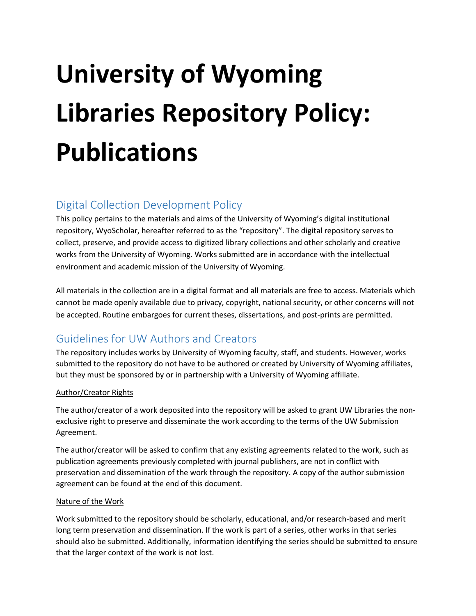# **University of Wyoming Libraries Repository Policy: Publications**

#### Digital Collection Development Policy

This policy pertains to the materials and aims of the University of Wyoming's digital institutional repository, WyoScholar, hereafter referred to as the "repository". The digital repository serves to collect, preserve, and provide access to digitized library collections and other scholarly and creative works from the University of Wyoming. Works submitted are in accordance with the intellectual environment and academic mission of the University of Wyoming.

All materials in the collection are in a digital format and all materials are free to access. Materials which cannot be made openly available due to privacy, copyright, national security, or other concerns will not be accepted. Routine embargoes for current theses, dissertations, and post-prints are permitted.

# Guidelines for UW Authors and Creators

The repository includes works by University of Wyoming faculty, staff, and students. However, works submitted to the repository do not have to be authored or created by University of Wyoming affiliates, but they must be sponsored by or in partnership with a University of Wyoming affiliate.

#### Author/Creator Rights

The author/creator of a work deposited into the repository will be asked to grant UW Libraries the nonexclusive right to preserve and disseminate the work according to the terms of the UW Submission Agreement.

The author/creator will be asked to confirm that any existing agreements related to the work, such as publication agreements previously completed with journal publishers, are not in conflict with preservation and dissemination of the work through the repository. A copy of the author submission agreement can be found at the end of this document.

#### Nature of the Work

Work submitted to the repository should be scholarly, educational, and/or research-based and merit long term preservation and dissemination. If the work is part of a series, other works in that series should also be submitted. Additionally, information identifying the series should be submitted to ensure that the larger context of the work is not lost.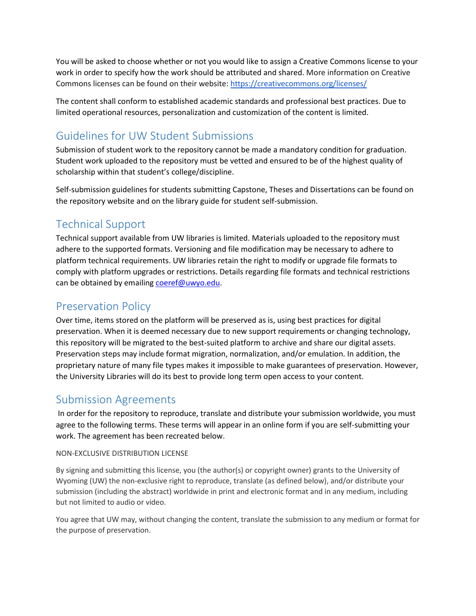You will be asked to choose whether or not you would like to assign a Creative Commons license to your work in order to specify how the work should be attributed and shared. More information on Creative Commons licenses can be found on their website:<https://creativecommons.org/licenses/>

The content shall conform to established academic standards and professional best practices. Due to limited operational resources, personalization and customization of the content is limited.

# Guidelines for UW Student Submissions

Submission of student work to the repository cannot be made a mandatory condition for graduation. Student work uploaded to the repository must be vetted and ensured to be of the highest quality of scholarship within that student's college/discipline.

Self-submission guidelines for students submitting Capstone, Theses and Dissertations can be found on the repository website and on the library guide for student self-submission.

# Technical Support

Technical support available from UW libraries is limited. Materials uploaded to the repository must adhere to the supported formats. Versioning and file modification may be necessary to adhere to platform technical requirements. UW libraries retain the right to modify or upgrade file formats to comply with platform upgrades or restrictions. Details regarding file formats and technical restrictions can be obtained by emailing [coeref@uwyo.edu.](mailto:coeref@uwyo.edu)

### Preservation Policy

Over time, items stored on the platform will be preserved as is, using best practices for digital preservation. When it is deemed necessary due to new support requirements or changing technology, this repository will be migrated to the best-suited platform to archive and share our digital assets. Preservation steps may include format migration, normalization, and/or emulation. In addition, the proprietary nature of many file types makes it impossible to make guarantees of preservation. However, the University Libraries will do its best to provide long term open access to your content.

## Submission Agreements

In order for the repository to reproduce, translate and distribute your submission worldwide, you must agree to the following terms. These terms will appear in an online form if you are self-submitting your work. The agreement has been recreated below.

#### NON-EXCLUSIVE DISTRIBUTION LICENSE

By signing and submitting this license, you (the author(s) or copyright owner) grants to the University of Wyoming (UW) the non-exclusive right to reproduce, translate (as defined below), and/or distribute your submission (including the abstract) worldwide in print and electronic format and in any medium, including but not limited to audio or video.

You agree that UW may, without changing the content, translate the submission to any medium or format for the purpose of preservation.